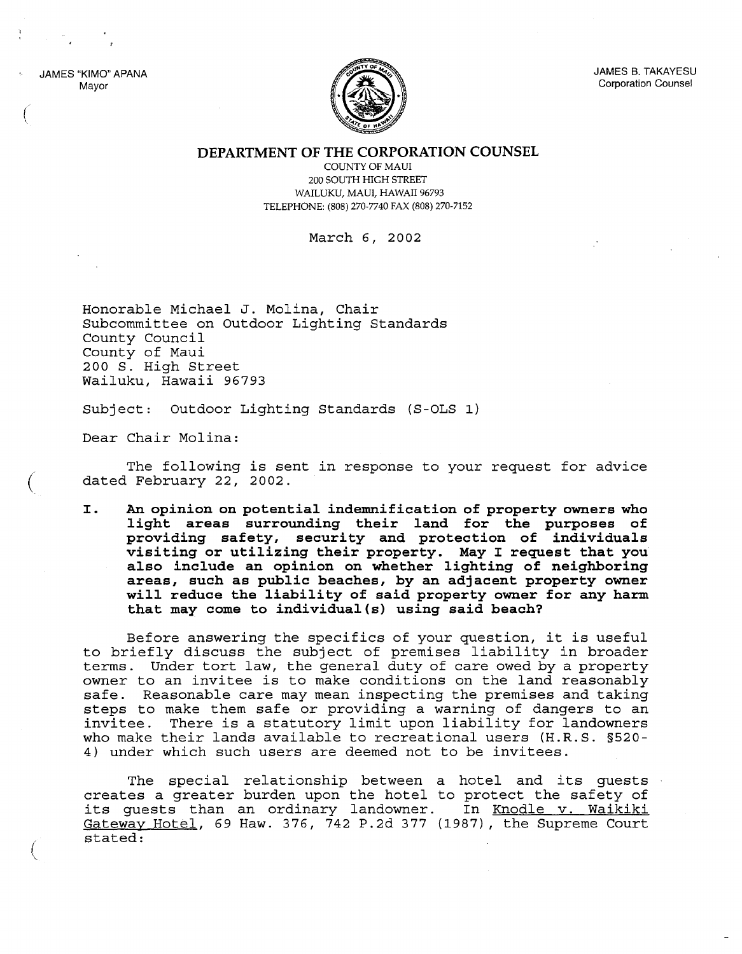JAMES "KIMO" APANA Mayor

(

(

( '.



JAMES B. TAKAYESU Corporation Counsel

**DEPARTMENT OF THE CORPORATION COUNSEL**

COUNTY OF MAUl 200 SOUTH HIGH STREET WAILUKU, MAUl, HAWAII 96793 TELEPHONE: (808) 270-7740 FAX (808) 270-7152

March 6, 2002

Honorable Michael J. Molina, Chair Subcommittee on Outdoor Lighting Standards County Council County of Maui 200 S. High Street Wailuku, Hawaii 96793

Subject: Outdoor Lighting Standards (S-OLS 1)

Dear Chair Molina:

The following is sent in response to your request for advice dated February 22, 2002.

I. **An opinion on potential indemnification of property owners who light areas surrounding their land for the purposes of providing safety, security and protection of individuals visiting or utilizing their property. May <sup>I</sup> request that you also include an opinion on whether lighting of neighboring areas, such as public beaches, by an adjacent property owner will reduce the liability of said property owner for any har.m that may come to individual(s) using said beach?**

Before answering the specifics of your question, it is useful to briefly discuss the subject of premises liability in broader terms. Under tort law, the general duty of care owed by <sup>a</sup> property owner to an invitee is to make conditions on the land reasonably safe. Reasonable care may mean inspecting the premises and taking steps to make them safe or providing a warning of dangers to an invitee. There is <sup>a</sup> statutory limit upon liability for landowners who make their lands available to recreational users (H.R.S. §520- 4) under which such users are deemed not to be invitees.

The special relationship between <sup>a</sup> hotel and its guests creates a greater burden upon the hotel to protect the safety of creates a greater burden upon the hoter to protect the sarety of<br>its guests than an ordinary landowner. In <u>Knodle v. Waikiki</u> Gateway Hotel, 69 Haw. 376, 742 P.2d 377 (1987), the Supreme Court stated: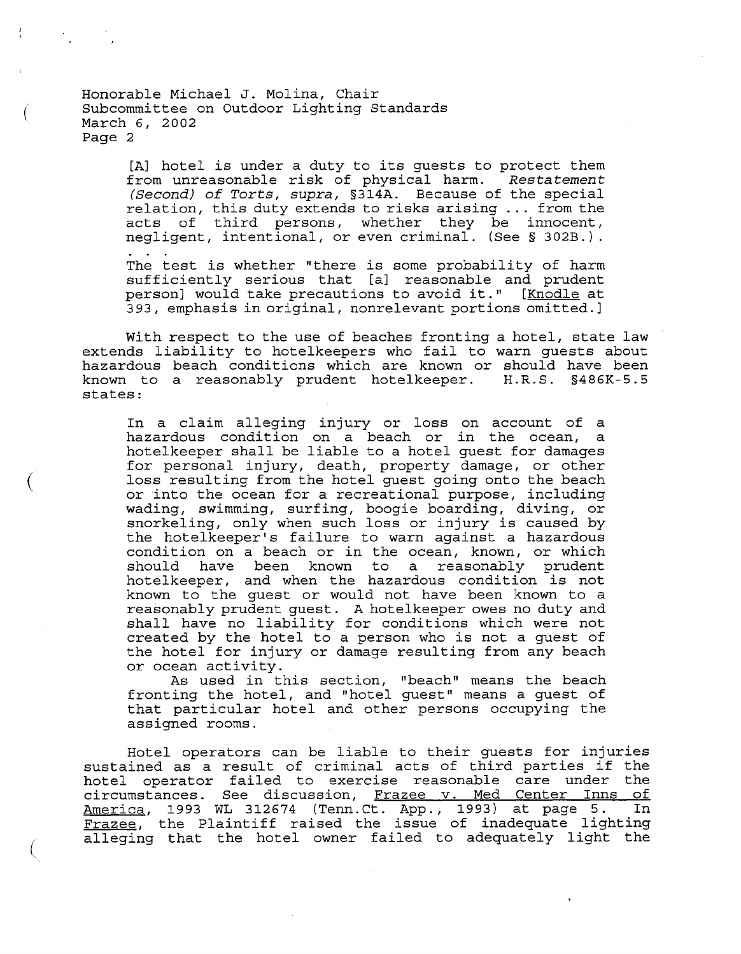Honorable Michael J. Molina, Chair Subcommittee on Outdoor Lighting Standards March *6 <sup>1</sup> 2002* Page 2

(

(

 $\big($ 

[A] hotel is under a duty to its guests to protect them<br>from unreasonable risk of physical harm. Restatement from unreasonable risk of physical harm. *(Second) of Torts, supra,* §314A. Because of the special relation, this duty extends to risks arising ... from the acts of third persons, whether they be innocent, negligent, intentional, or even criminal. (See § 302B.).

The test is whether "there is some probability of harm sufficiently serious that [a] reasonable and prudent person] would take precautions to avoid it." [Knodle at *393 <sup>1</sup>* emphasis in original *<sup>1</sup>* nonrelevant portions omitted.]

With respect to the use of beaches fronting a hotel, state law extends liability to hotelkeepers who fail to warn guests about hazardous beach conditions which are known or should have been<br>known to a reasonably prudent hotelkeeper. H.R.S. §486K-5.5 known to a reasonably prudent hotelkeeper. states:

In a claim alleging injury or loss on account of a hazardous condition on a beach or in the ocean, a hotelkeeper shall be liable to a hotel guest for damages for personal injury, death, property damage, or other loss resulting from the hotel guest going onto the beach or into the ocean for a recreational purpose *<sup>1</sup>* including *wading <sup>l</sup>* swimming *<sup>1</sup>* surfing l boogie boarding *<sup>1</sup> diving <sup>l</sup>* or wading, Swimming, Suffing, Boogle Boarding, diving, Of<br>snorkeling, only when such loss or injury is caused by the hotelkeeper's failure to warn against a hazardous condition on a beach or in the *ocean <sup>l</sup>* known *<sup>1</sup>* or which should have been known to a reasonably prudent hotelkeeper, and when the hazardous condition is not known to the guest or would not have been known to a reasonably prudent guest. A hotelkeeper owes no duty and shall have no liability for conditions which were not created by the hotel to <sup>a</sup> person who is not <sup>a</sup> guest of the hotel for injury or damage resulting from any beach or ocean activity.

As used in this section, "beach" means the beach fronting the hotel, and "hotel guest" means a guest of that particular hotel and other persons occupying the assigned rooms.

Hotel operators can be liable to their guests for injuries sustained as <sup>a</sup> result of criminal acts of third parties if the hotel operator failed to exercise reasonable care under the circumstances. See *discussion <sup>l</sup>* Frazee v. Med Center Inns of *America*, 1993 WL 312674 (Tenn.Ct. App., 1993) at page 5. In Frazee, the Plaintiff raised the issue of inadequate lighting alleging that the hotel owner failed to adequately light the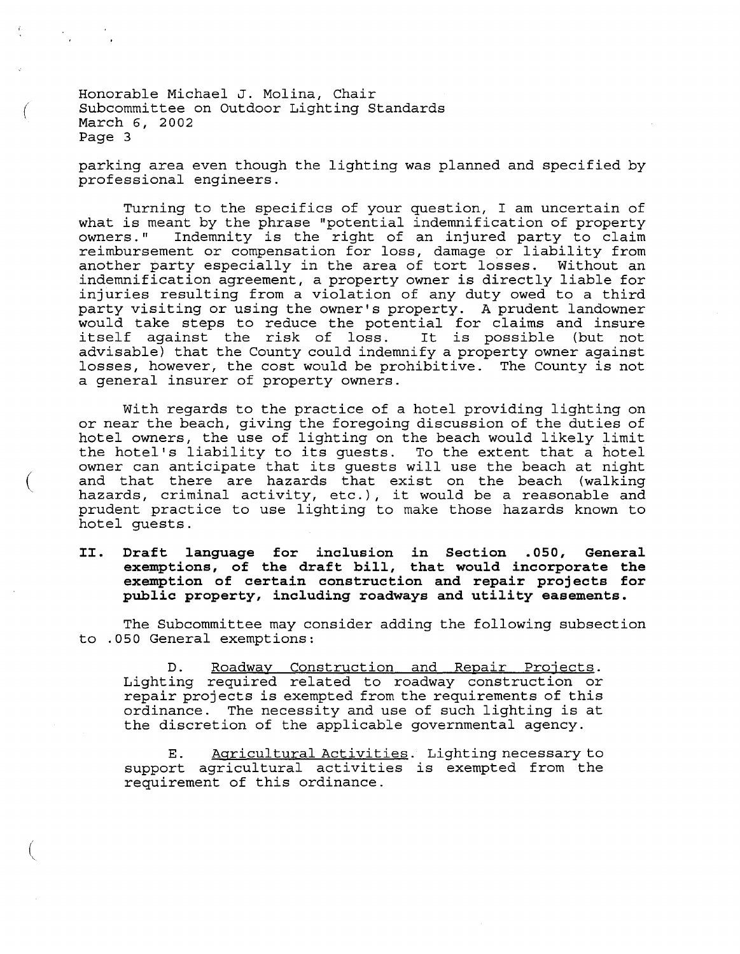Honorable Michael J. Molina, Chair Subcommittee on Outdoor Lighting Standards March 6, 2002 Page 3

(

(

(

parking area even though the lighting was planned and specified by professional engineers.

Turning to the specifics of your question, I am uncertain of what is meant by the phrase "potential indemnification of property<br>owners." Indemnity is the right of an injured party to claim Indemnity is the right of an injured party to claim reimbursement or compensation for loss, damage or liability from another party especially in the area of tort losses. Without an indemnification agreement, <sup>a</sup> property owner is directly liable for injuries resulting from <sup>a</sup> violation of any duty owed to <sup>a</sup> third party visiting or using the owner's property. <sup>A</sup> prudent landowner would take steps to reduce the potential for claims and insure<br>itself against the risk of loss. It is possible (but not itself against the risk of loss. advisable) that the County could indemnify a property owner against losses, however, the cost would be prohibitive. The County is not a general insurer of property owners.

With regards to the practice of a hotel providing lighting on or near the beach, giving the foregoing discussion of the duties of hotel owners, the use of lighting on the beach would likely limit the hotel's liability to its guests. To the extent that <sup>a</sup> hotel owner can anticipate that its guests will use the beach at night and that there are hazards that exist on the beach (walking hazards, criminal activity, etc.), it would be <sup>a</sup> reasonable and prudent practice to use lighting to make those hazards known to hotel guests.

**II. Dra£t language for inclusion in Section .050, General exemptions, of the draft bill, that would incorporate the exemption of certain construction and repair projects for public property, including roadways and utility easements.**

The Subcommittee may consider adding the following subsection to .050 General exemptions:

D. Roadway Construction and Repair Projects. Lighting required related to roadway construction or repair projects is exempted from the requirements of this ordinance. The necessity and use of such lighting is at the discretion of the applicable governmental agency.

E. Agricultural Activities. Lighting necessary to support agricultural activities is exempted from the requirement of this ordinance.